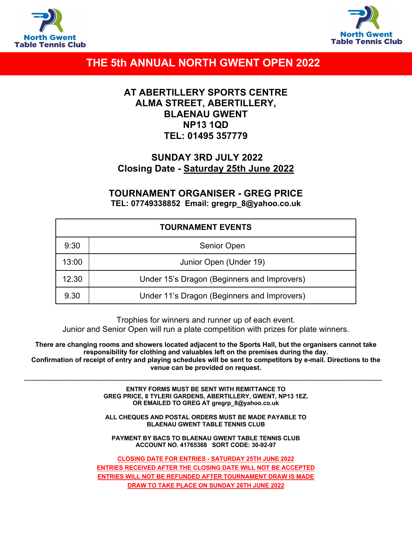



# **THE 5th ANNUAL NORTH GWENT OPEN 2022**

### **AT ABERTILLERY SPORTS CENTRE ALMA STREET, ABERTILLERY, BLAENAU GWENT NP13 1QD TEL: 01495 357779**

## **SUNDAY 3RD JULY 2022 Closing Date - Saturday 25th June 2022**

### **TOURNAMENT ORGANISER - GREG PRICE TEL: 07749338852 Email: gregrp\_8@yahoo.co.uk**

| <b>TOURNAMENT EVENTS</b> |                                             |  |  |  |
|--------------------------|---------------------------------------------|--|--|--|
| 9:30                     | Senior Open                                 |  |  |  |
| 13:00                    | Junior Open (Under 19)                      |  |  |  |
| 12.30                    | Under 15's Dragon (Beginners and Improvers) |  |  |  |
| 9.30                     | Under 11's Dragon (Beginners and Improvers) |  |  |  |

Trophies for winners and runner up of each event.

Junior and Senior Open will run a plate competition with prizes for plate winners.

**There are changing rooms and showers located adjacent to the Sports Hall, but the organisers cannot take responsibility for clothing and valuables left on the premises during the day. Confirmation of receipt of entry and playing schedules will be sent to competitors by e-mail. Directions to the venue can be provided on request.**

\_\_\_\_\_\_\_\_\_\_\_\_\_\_\_\_\_\_\_\_\_\_\_\_\_\_\_\_\_\_\_\_\_\_\_\_\_\_\_\_\_\_\_\_\_\_\_\_\_\_\_\_\_\_\_\_\_\_\_\_\_\_\_\_\_\_\_\_\_\_\_\_\_\_\_\_\_\_\_\_\_\_\_\_\_\_\_\_\_

**ENTRY FORMS MUST BE SENT WITH REMITTANCE TO GREG PRICE, 8 TYLERI GARDENS, ABERTILLERY, GWENT, NP13 1EZ. OR EMAILED TO GREG AT gregrp\_8@yahoo.co.uk**

**ALL CHEQUES AND POSTAL ORDERS MUST BE MADE PAYABLE TO BLAENAU GWENT TABLE TENNIS CLUB**

**PAYMENT BY BACS TO BLAENAU GWENT TABLE TENNIS CLUB ACCOUNT NO. 41765368 SORT CODE: 30-92-97**

**CLOSING DATE FOR ENTRIES - SATURDAY 25TH JUNE 2022 ENTRIES RECEIVED AFTER THE CLOSING DATE WILL NOT BE ACCEPTED ENTRIES WILL NOT BE REFUNDED AFTER TOURNAMENT DRAW IS MADE DRAW TO TAKE PLACE ON SUNDAY 26TH JUNE 2022**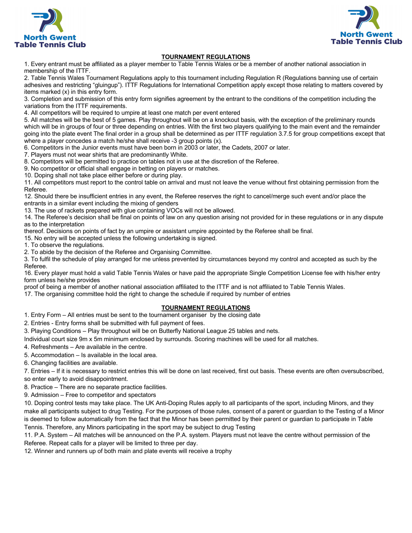



#### **TOURNAMENT REGULATIONS**

1. Every entrant must be affiliated as a player member to Table Tennis Wales or be a member of another national association in membership of the ITTF.

2. Table Tennis Wales Tournament Regulations apply to this tournament including Regulation R (Regulations banning use of certain adhesives and restricting "gluingup"). ITTF Regulations for International Competition apply except those relating to matters covered by items marked (x) in this entry form.

3. Completion and submission of this entry form signifies agreement by the entrant to the conditions of the competition including the variations from the ITTF requirements.

4. All competitors will be required to umpire at least one match per event entered

5. All matches will be the best of 5 games. Play throughout will be on a knockout basis, with the exception of the preliminary rounds which will be in groups of four or three depending on entries. With the first two players qualifying to the main event and the remainder going into the plate event The final order in a group shall be determined as per ITTF regulation 3.7.5 for group competitions except that where a player concedes a match he/she shall receive -3 group points (x).

6. Competitors in the Junior events must have been born in 2003 or later, the Cadets, 2007 or later.

7. Players must not wear shirts that are predominantly White.

8. Competitors will be permitted to practice on tables not in use at the discretion of the Referee.

9. No competitor or official shall engage in betting on players or matches.

10. Doping shall not take place either before or during play.

11. All competitors must report to the control table on arrival and must not leave the venue without first obtaining permission from the Referee.

12. Should there be insufficient entries in any event, the Referee reserves the right to cancel/merge such event and/or place the entrants in a similar event including the mixing of genders

13. The use of rackets prepared with glue containing VOCs will not be allowed.

14. The Referee's decision shall be final on points of law on any question arising not provided for in these regulations or in any dispute as to the interpretation

thereof. Decisions on points of fact by an umpire or assistant umpire appointed by the Referee shall be final.

15. No entry will be accepted unless the following undertaking is signed.

1. To observe the regulations.

2. To abide by the decision of the Referee and Organising Committee.

3. To fulfil the schedule of play arranged for me unless prevented by circumstances beyond my control and accepted as such by the Referee.

16. Every player must hold a valid Table Tennis Wales or have paid the appropriate Single Competition License fee with his/her entry form unless he/she provides

proof of being a member of another national association affiliated to the ITTF and is not affiliated to Table Tennis Wales.

17. The organising committee hold the right to change the schedule if required by number of entries

#### **TOURNAMENT REGULATIONS**

1. Entry Form – All entries must be sent to the tournament organiser by the closing date

2. Entries - Entry forms shall be submitted with full payment of fees.

3. Playing Conditions – Play throughout will be on Butterfly National League 25 tables and nets.

Individual court size 9m x 5m minimum enclosed by surrounds. Scoring machines will be used for all matches.

4. Refreshments – Are available in the centre.

5. Accommodation – Is available in the local area.

6. Changing facilities are available.

7. Entries – If it is necessary to restrict entries this will be done on last received, first out basis. These events are often oversubscribed, so enter early to avoid disappointment.

8. Practice – There are no separate practice facilities.

9. Admission – Free to competitor and spectators

10. Doping control tests may take place. The UK Anti-Doping Rules apply to all participants of the sport, including Minors, and they make all participants subject to drug Testing. For the purposes of those rules, consent of a parent or guardian to the Testing of a Minor is deemed to follow automatically from the fact that the Minor has been permitted by their parent or guardian to participate in Table Tennis. Therefore, any Minors participating in the sport may be subject to drug Testing

11. P.A. System – All matches will be announced on the P.A. system. Players must not leave the centre without permission of the Referee. Repeat calls for a player will be limited to three per day.

12. Winner and runners up of both main and plate events will receive a trophy